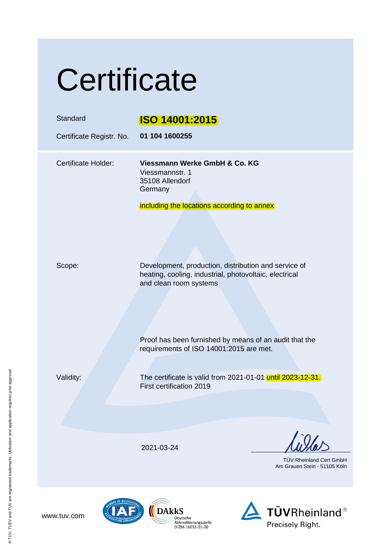# **Certificate**

| Standard<br>Certificate Registr. No. | <b>ISO 14001:2015</b><br>01 104 1600255                                                                                                                                                            |
|--------------------------------------|----------------------------------------------------------------------------------------------------------------------------------------------------------------------------------------------------|
| <b>Certificate Holder:</b>           | Viessmann Werke GmbH & Co. KG<br>Viessmannstr. 1<br>35108 Allendorf<br>Germany<br>including the locations according to annex                                                                       |
| Scope:                               | Development, production, distribution and service of<br>heating, cooling, industrial, photovoltaic, electrical<br>and clean room systems<br>Proof has been furnished by means of an audit that the |
| Validity:                            | requirements of ISO 14001:2015 are met.<br>The certificate is valid from 2021-01-01 until 2023-12-31.<br>First certification 2019                                                                  |
|                                      |                                                                                                                                                                                                    |
|                                      | 2021-03-24<br>TÜV Rheinland Cert GmbH<br>Am Grauen Stein 51105 Köln                                                                                                                                |
|                                      |                                                                                                                                                                                                    |





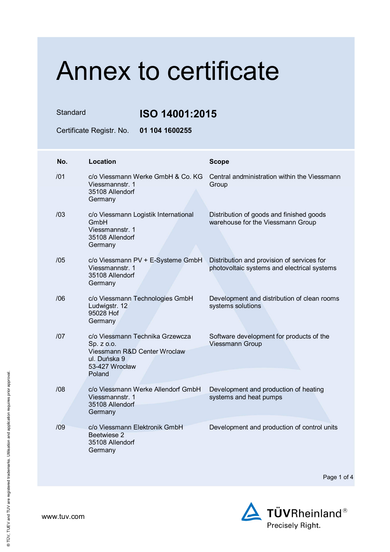Standard **ISO 14001:2015**

Certificate Registr. No. **01 104 1600255** 

| No. | Location                                                                                                                  | <b>Scope</b>                                                                              |
|-----|---------------------------------------------------------------------------------------------------------------------------|-------------------------------------------------------------------------------------------|
| /01 | c/o Viessmann Werke GmbH & Co. KG<br>Viessmannstr. 1<br>35108 Allendorf<br>Germany                                        | Central andministration within the Viessmann<br>Group                                     |
| /03 | c/o Viessmann Logistik International<br>GmbH<br>Viessmannstr. 1<br>35108 Allendorf<br>Germany                             | Distribution of goods and finished goods<br>warehouse for the Viessmann Group             |
| /05 | c/o Viessmann PV + E-Systeme GmbH<br>Viessmannstr. 1<br>35108 Allendorf<br>Germany                                        | Distribution and provision of services for<br>photovoltaic systems and electrical systems |
| /06 | c/o Viessmann Technologies GmbH<br>Ludwigstr. 12<br>95028 Hof<br>Germany                                                  | Development and distribution of clean rooms<br>systems solutions                          |
| 107 | c/o Viessmann Technika Grzewcza<br>Sp. z o.o.<br>Viessmann R&D Center Wroclaw<br>ul. Duńska 9<br>53-427 Wrocław<br>Poland | Software development for products of the<br><b>Viessmann Group</b>                        |
| /08 | c/o Viessmann Werke Allendorf GmbH<br>Viessmannstr. 1<br>35108 Allendorf<br>Germany                                       | Development and production of heating<br>systems and heat pumps                           |
| /09 | c/o Viessmann Elektronik GmbH<br>Beetwiese 2<br>35108 Allendorf<br>Germany                                                | Development and production of control units                                               |

Page 1 of 4

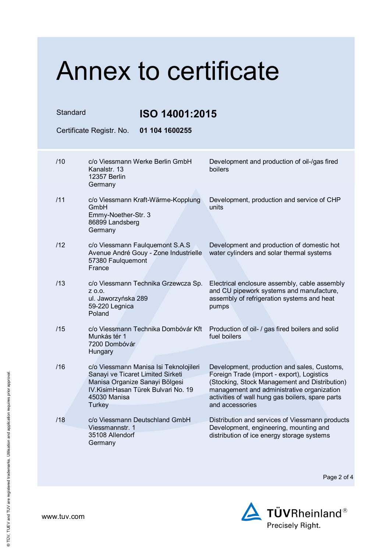Standard **ISO 14001:2015**

Certificate Registr. No. **01 104 1600255** 

| /10 | c/o Viessmann Werke Berlin GmbH<br>Kanalstr, 13<br><b>12357 Berlin</b><br>Germany                                                                                               | Development and production of oil-/gas fired<br>boilers                                                                                                                                                                                                         |
|-----|---------------------------------------------------------------------------------------------------------------------------------------------------------------------------------|-----------------------------------------------------------------------------------------------------------------------------------------------------------------------------------------------------------------------------------------------------------------|
| /11 | c/o Viessmann Kraft-Wärme-Kopplung<br>GmbH<br>Emmy-Noether-Str. 3<br>86899 Landsberg<br>Germany                                                                                 | Development, production and service of CHP<br>units                                                                                                                                                                                                             |
| /12 | c/o Viessmann Faulquemont S.A.S<br>Avenue André Gouy - Zone Industrielle<br>57380 Faulquemont<br>France                                                                         | Development and production of domestic hot<br>water cylinders and solar thermal systems                                                                                                                                                                         |
| /13 | c/o Viessmann Technika Grzewcza Sp.<br>Z 0.0.<br>ul. Jaworzyńska 289<br>59-220 Legnica<br>Poland                                                                                | Electrical enclosure assembly, cable assembly<br>and CU pipework systems and manufacture,<br>assembly of refrigeration systems and heat<br>pumps                                                                                                                |
| /15 | c/o Viessmann Technika Dombóvár Kft<br>Munkás tér 1<br>7200 Dombóvár<br>Hungary                                                                                                 | Production of oil- / gas fired boilers and solid<br>fuel boilers                                                                                                                                                                                                |
| /16 | c/o Viessmann Manisa Isi Teknolojileri<br>Sanayi ve Ticaret Limited Sirketi<br>Manisa Organize Sanayi Bölgesi<br>IV. Kisim Hasan Türek Bulvari No. 19<br>45030 Manisa<br>Turkey | Development, production and sales, Customs,<br>Foreign Trade (import - export), Logistics<br>(Stocking, Stock Management and Distribution)<br>management and administrative organization<br>activities of wall hung gas boilers, spare parts<br>and accessories |
| /18 | c/o Viessmann Deutschland GmbH<br>Viessmannstr. 1<br>35108 Allendorf<br>Germany                                                                                                 | Distribution and services of Viessmann products<br>Development, engineering, mounting and<br>distribution of ice energy storage systems                                                                                                                         |

Page 2 of 4

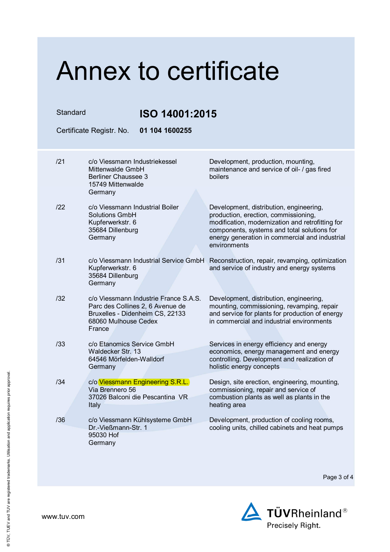| Standard | ISO 14001:2015                                                                                                                                 |                                                                                                                                                                                                                                                      |
|----------|------------------------------------------------------------------------------------------------------------------------------------------------|------------------------------------------------------------------------------------------------------------------------------------------------------------------------------------------------------------------------------------------------------|
|          | Certificate Registr. No.<br>01 104 1600255                                                                                                     |                                                                                                                                                                                                                                                      |
| 121      | c/o Viessmann Industriekessel<br>Mittenwalde GmbH<br><b>Berliner Chaussee 3</b><br>15749 Mittenwalde                                           | Development, production, mounting,<br>maintenance and service of oil- / gas fired<br>boilers                                                                                                                                                         |
| 122      | Germany<br>c/o Viessmann Industrial Boiler<br><b>Solutions GmbH</b><br>Kupferwerkstr. 6<br>35684 Dillenburg<br>Germany                         | Development, distribution, engineering,<br>production, erection, commissioning,<br>modification, modernization and retrofitting for<br>components, systems and total solutions for<br>energy generation in commercial and industrial<br>environments |
| /31      | c/o Viessmann Industrial Service GmbH<br>Kupferwerkstr. 6<br>35684 Dillenburg<br>Germany                                                       | Reconstruction, repair, revamping, optimization<br>and service of industry and energy systems                                                                                                                                                        |
| /32      | c/o Viessmann Industrie France S.A.S.<br>Parc des Collines 2, 6 Avenue de<br>Bruxelles - Didenheim CS, 22133<br>68060 Mulhouse Cedex<br>France | Development, distribution, engineering,<br>mounting, commissioning, revamping, repair<br>and service for plants for production of energy<br>in commercial and industrial environments                                                                |
| /33      | c/o Etanomics Service GmbH<br>Waldecker Str. 13<br>64546 Mörfelden-Walldorf<br>Germany                                                         | Services in energy efficiency and energy<br>economics, energy management and energy<br>controlling. Development and realization of<br>holistic energy concepts                                                                                       |
| /34      | c/o Viessmann Engineering S.R.L.<br>Via Brennero 56<br>37026 Balconi die Pescantina VR<br>Italy                                                | Design, site erection, engineering, mounting,<br>commissioning, repair and service of<br>combustion plants as well as plants in the<br>heating area                                                                                                  |
| /36      | c/o Viessmann Kühlsysteme GmbH<br>Dr.-Vießmann-Str. 1<br>95030 Hof<br>Germany                                                                  | Development, production of cooling rooms,<br>cooling units, chilled cabinets and heat pumps                                                                                                                                                          |

Page 3 of 4